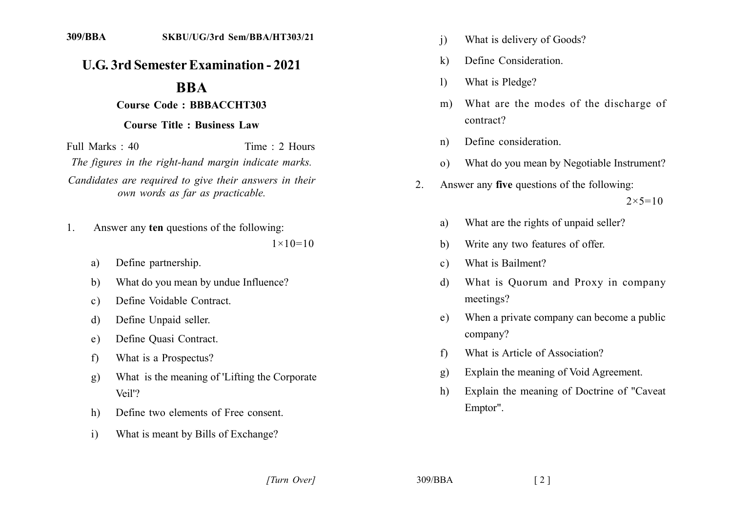## **U.G. 3rd Semester Examination - 2021**

## **BBA**

## Course Code: BBBACCHT303

## **Course Title: Business Law**

Full Marks  $\cdot$  40 Time  $\cdot$  2 Hours The figures in the right-hand margin indicate marks. Candidates are required to give their answers in their own words as far as practicable.

- Answer any ten questions of the following:  $1_{-}$  $1 \times 10 = 10$ 
	- Define partnership.  $a)$
	- What do you mean by undue Influence?  $b)$
	- Define Voidable Contract.  $\mathbf{c}$ )
	- Define Unpaid seller. d)
	- Define Quasi Contract.  $e)$
	- What is a Prospectus?  $f$
	- What is the meaning of 'Lifting the Corporate  $\mathbf{g}$ ) Veil'?
	- Define two elements of Free consent.  $h)$
	- $\mathbf{i}$ What is meant by Bills of Exchange?
- $\mathbf{i}$ What is delivery of Goods?
- Define Consideration.  $\bf k$
- What is Pledge?  $\left| \right|$
- What are the modes of the discharge of  $m$ ) contract?
- Define consideration.  $n)$
- What do you mean by Negotiable Instrument?  $\Omega$ )
- Answer any five questions of the following:  $2<sup>1</sup>$

 $2 \times 5 = 10$ 

- What are the rights of unpaid seller? a)
- Write any two features of offer. b)
- What is Bailment?  $\mathbf{c}$ )
- What is Quorum and Proxy in company d) meetings?
- When a private company can become a public  $e)$ company?
- What is Article of Association?  $f$
- Explain the meaning of Void Agreement.  $\mathbf{g}$ )
- Explain the meaning of Doctrine of "Caveat" h) Emptor".